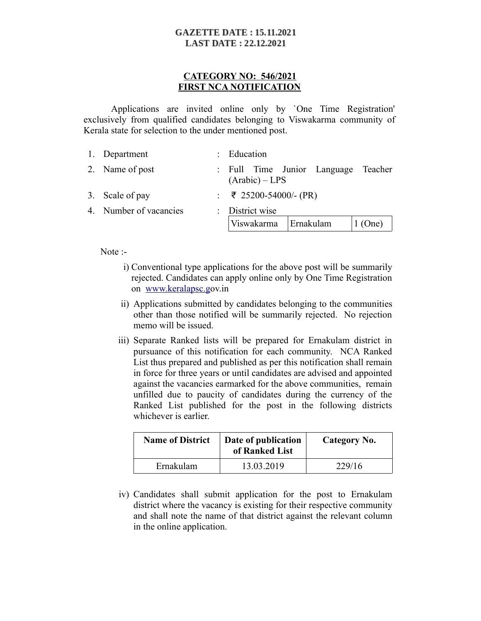# **GAZETTE DATE: 15.11.2021 LAST DATE: 22.12.2021**

# **CATEGORY NO: 546/2021 FIRST NCA NOTIFICATION**

Applications are invited online only by `One Time Registration' exclusively from qualified candidates belonging to Viswakarma community of Kerala state for selection to the under mentioned post.

| 1. Department          | : Education                                             |  |
|------------------------|---------------------------------------------------------|--|
| 2. Name of post        | : Full Time Junior Language Teacher<br>$(Arabic) - LPS$ |  |
| 3. Scale of pay        | : ₹ 25200-54000/- (PR)                                  |  |
| 4. Number of vacancies | : District wise                                         |  |
|                        | Ernakulam<br>$1$ (One)<br>Viswakarma                    |  |

Note :-

- i) Conventional type applications for the above post will be summarily rejected. Candidates can apply online only by One Time Registration on [www.keralapsc.go](http://www.keralapsc.org/)v.in
- ii) Applications submitted by candidates belonging to the communities other than those notified will be summarily rejected. No rejection memo will be issued.
- iii) Separate Ranked lists will be prepared for Ernakulam district in pursuance of this notification for each community. NCA Ranked List thus prepared and published as per this notification shall remain in force for three years or until candidates are advised and appointed against the vacancies earmarked for the above communities, remain unfilled due to paucity of candidates during the currency of the Ranked List published for the post in the following districts whichever is earlier.

| <b>Name of District</b> | Date of publication<br>of Ranked List | Category No. |
|-------------------------|---------------------------------------|--------------|
| Ernakulam               | 13.03.2019                            | 229/16       |

iv) Candidates shall submit application for the post to Ernakulam district where the vacancy is existing for their respective community and shall note the name of that district against the relevant column in the online application.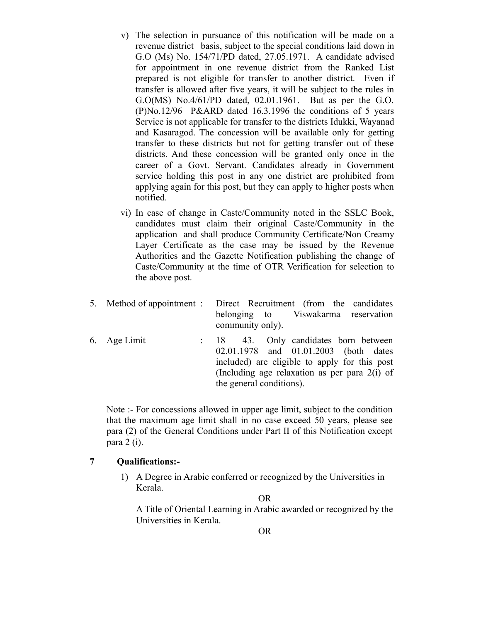- v) The selection in pursuance of this notification will be made on a revenue district basis, subject to the special conditions laid down in G.O (Ms) No. 154/71/PD dated, 27.05.1971. A candidate advised for appointment in one revenue district from the Ranked List prepared is not eligible for transfer to another district. Even if transfer is allowed after five years, it will be subject to the rules in G.O(MS) No.4/61/PD dated, 02.01.1961. But as per the G.O. (P)No.12/96 P&ARD dated 16.3.1996 the conditions of 5 years Service is not applicable for transfer to the districts Idukki, Wayanad and Kasaragod. The concession will be available only for getting transfer to these districts but not for getting transfer out of these districts. And these concession will be granted only once in the career of a Govt. Servant. Candidates already in Government service holding this post in any one district are prohibited from applying again for this post, but they can apply to higher posts when notified.
- vi) In case of change in Caste/Community noted in the SSLC Book, candidates must claim their original Caste/Community in the application and shall produce Community Certificate/Non Creamy Layer Certificate as the case may be issued by the Revenue Authorities and the Gazette Notification publishing the change of Caste/Community at the time of OTR Verification for selection to the above post.
- 5. Method of appointment : Direct Recruitment (from the candidates belonging to Viswakarma reservation community only).
- 6. Age Limit : 18 43. Only candidates born between 02.01.1978 and 01.01.2003 (both dates included) are eligible to apply for this post (Including age relaxation as per para 2(i) of the general conditions).

Note :- For concessions allowed in upper age limit, subject to the condition that the maximum age limit shall in no case exceed 50 years, please see para (2) of the General Conditions under Part II of this Notification except para 2 (i).

# **7 Qualifications:-**

1) A Degree in Arabic conferred or recognized by the Universities in Kerala.

OR

A Title of Oriental Learning in Arabic awarded or recognized by the Universities in Kerala.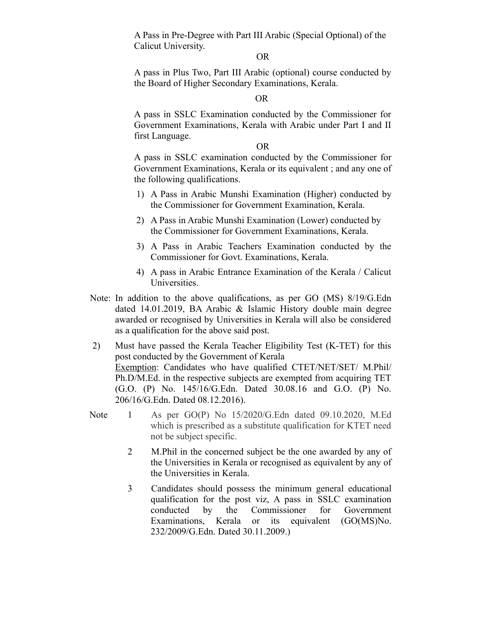A Pass in Pre-Degree with Part III Arabic (Special Optional) of the Calicut University.

#### OR

A pass in Plus Two, Part III Arabic (optional) course conducted by the Board of Higher Secondary Examinations, Kerala.

### OR

A pass in SSLC Examination conducted by the Commissioner for Government Examinations, Kerala with Arabic under Part I and II first Language.

# OR

A pass in SSLC examination conducted by the Commissioner for Government Examinations, Kerala or its equivalent ; and any one of the following qualifications.

- 1) A Pass in Arabic Munshi Examination (Higher) conducted by the Commissioner for Government Examination, Kerala.
- 2) A Pass in Arabic Munshi Examination (Lower) conducted by the Commissioner for Government Examinations, Kerala.
- 3) A Pass in Arabic Teachers Examination conducted by the Commissioner for Govt. Examinations, Kerala.
- 4) A pass in Arabic Entrance Examination of the Kerala / Calicut Universities.
- Note: In addition to the above qualifications, as per GO (MS) 8/19/G.Edn dated 14.01.2019, BA Arabic & Islamic History double main degree awarded or recognised by Universities in Kerala will also be considered as a qualification for the above said post.
- 2) Must have passed the Kerala Teacher Eligibility Test (K-TET) for this post conducted by the Government of Kerala Exemption: Candidates who have qualified CTET/NET/SET/ M.Phil/ Ph.D/M.Ed. in the respective subjects are exempted from acquiring TET (G.O. (P) No. 145/16/G.Edn. Dated 30.08.16 and G.O. (P) No. 206/16/G.Edn. Dated 08.12.2016).
- Note 1 As per GO(P) No 15/2020/G.Edn dated 09.10.2020, M.Ed which is prescribed as a substitute qualification for KTET need not be subject specific.
	- 2 M.Phil in the concerned subject be the one awarded by any of the Universities in Kerala or recognised as equivalent by any of the Universities in Kerala.
	- 3 Candidates should possess the minimum general educational qualification for the post viz, A pass in SSLC examination conducted by the Commissioner for Government Examinations, Kerala or its equivalent (GO(MS)No. 232/2009/G.Edn. Dated 30.11.2009.)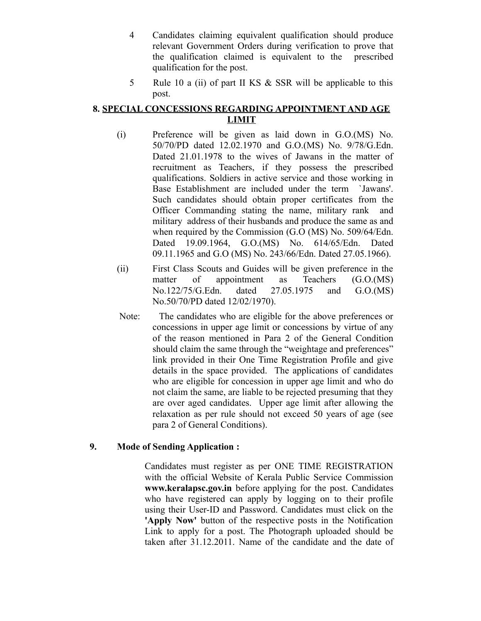- 4 Candidates claiming equivalent qualification should produce relevant Government Orders during verification to prove that the qualification claimed is equivalent to the prescribed qualification for the post.
- 5 Rule 10 a (ii) of part II KS & SSR will be applicable to this post.

# **8. SPECIAL CONCESSIONS REGARDING APPOINTMENT AND AGE LIMIT**

- (i) Preference will be given as laid down in G.O.(MS) No. 50/70/PD dated 12.02.1970 and G.O.(MS) No. 9/78/G.Edn. Dated 21.01.1978 to the wives of Jawans in the matter of recruitment as Teachers, if they possess the prescribed qualifications. Soldiers in active service and those working in Base Establishment are included under the term `Jawans'. Such candidates should obtain proper certificates from the Officer Commanding stating the name, military rank and military address of their husbands and produce the same as and when required by the Commission (G.O (MS) No. 509/64/Edn. Dated 19.09.1964, G.O.(MS) No. 614/65/Edn. Dated 09.11.1965 and G.O (MS) No. 243/66/Edn. Dated 27.05.1966).
- (ii) First Class Scouts and Guides will be given preference in the matter of appointment as Teachers (G.O.(MS) No.122/75/G.Edn. dated 27.05.1975 and G.O.(MS) No.50/70/PD dated 12/02/1970).
- Note: The candidates who are eligible for the above preferences or concessions in upper age limit or concessions by virtue of any of the reason mentioned in Para 2 of the General Condition should claim the same through the "weightage and preferences" link provided in their One Time Registration Profile and give details in the space provided. The applications of candidates who are eligible for concession in upper age limit and who do not claim the same, are liable to be rejected presuming that they are over aged candidates. Upper age limit after allowing the relaxation as per rule should not exceed 50 years of age (see para 2 of General Conditions).

# **9. Mode of Sending Application :**

Candidates must register as per ONE TIME REGISTRATION with the official Website of Kerala Public Service Commission **www.keralapsc.gov.in** before applying for the post. Candidates who have registered can apply by logging on to their profile using their User-ID and Password. Candidates must click on the **'Apply Now'** button of the respective posts in the Notification Link to apply for a post. The Photograph uploaded should be taken after 31.12.2011. Name of the candidate and the date of